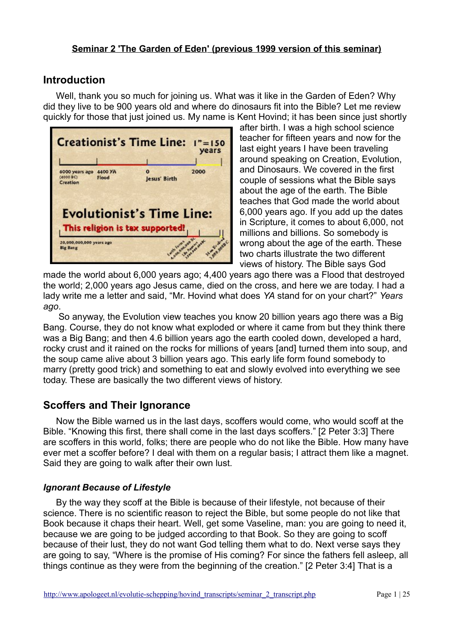## **Introduction**

Well, thank you so much for joining us. What was it like in the Garden of Eden? Why did they live to be 900 years old and where do dinosaurs fit into the Bible? Let me review quickly for those that just joined us. My name is Kent Hovind; it has been since just shortly



after birth. I was a high school science teacher for fifteen years and now for the last eight years I have been traveling around speaking on Creation, Evolution, and Dinosaurs. We covered in the first couple of sessions what the Bible says about the age of the earth. The Bible teaches that God made the world about 6,000 years ago. If you add up the dates in Scripture, it comes to about 6,000, not millions and billions. So somebody is wrong about the age of the earth. These two charts illustrate the two different views of history. The Bible says God

made the world about 6,000 years ago; 4,400 years ago there was a Flood that destroyed the world; 2,000 years ago Jesus came, died on the cross, and here we are today. I had a lady write me a letter and said, "Mr. Hovind what does *YA* stand for on your chart?" *Years ago*.

 So anyway, the Evolution view teaches you know 20 billion years ago there was a Big Bang. Course, they do not know what exploded or where it came from but they think there was a Big Bang; and then 4.6 billion years ago the earth cooled down, developed a hard, rocky crust and it rained on the rocks for millions of years [and] turned them into soup, and the soup came alive about 3 billion years ago. This early life form found somebody to marry (pretty good trick) and something to eat and slowly evolved into everything we see today. These are basically the two different views of history.

# **Scoffers and Their Ignorance**

Now the Bible warned us in the last days, scoffers would come, who would scoff at the Bible. "Knowing this first, there shall come in the last days scoffers." [2 Peter 3:3] There are scoffers in this world, folks; there are people who do not like the Bible. How many have ever met a scoffer before? I deal with them on a regular basis; I attract them like a magnet. Said they are going to walk after their own lust.

### *Ignorant Because of Lifestyle*

By the way they scoff at the Bible is because of their lifestyle, not because of their science. There is no scientific reason to reject the Bible, but some people do not like that Book because it chaps their heart. Well, get some Vaseline, man: you are going to need it, because we are going to be judged according to that Book. So they are going to scoff because of their lust, they do not want God telling them what to do. Next verse says they are going to say, "Where is the promise of His coming? For since the fathers fell asleep, all things continue as they were from the beginning of the creation." [2 Peter 3:4] That is a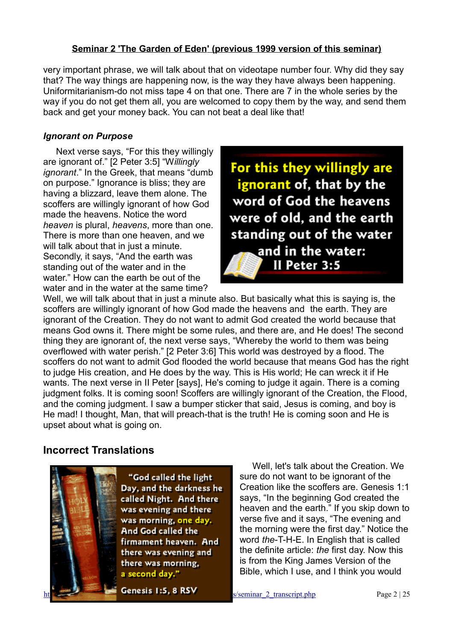very important phrase, we will talk about that on videotape number four. Why did they say that? The way things are happening now, is the way they have always been happening. Uniformitarianism-do not miss tape 4 on that one. There are 7 in the whole series by the way if you do not get them all, you are welcomed to copy them by the way, and send them back and get your money back. You can not beat a deal like that!

#### *Ignorant on Purpose*

Next verse says, "For this they willingly are ignorant of." [2 Peter 3:5] "W*illingly ignorant*." In the Greek, that means "dumb on purpose." Ignorance is bliss; they are having a blizzard, leave them alone. The scoffers are willingly ignorant of how God made the heavens. Notice the word *heaven* is plural, *heavens*, more than one. There is more than one heaven, and we will talk about that in just a minute. Secondly, it says, "And the earth was standing out of the water and in the water." How can the earth be out of the water and in the water at the same time?

For this they willingly are ignorant of, that by the word of God the heavens were of old, and the earth standing out of the water and in the water: II Peter 3:5

Well, we will talk about that in just a minute also. But basically what this is saying is, the scoffers are willingly ignorant of how God made the heavens and the earth. They are ignorant of the Creation. They do not want to admit God created the world because that means God owns it. There might be some rules, and there are, and He does! The second thing they are ignorant of, the next verse says, "Whereby the world to them was being overflowed with water perish." [2 Peter 3:6] This world was destroyed by a flood. The scoffers do not want to admit God flooded the world because that means God has the right to judge His creation, and He does by the way. This is His world; He can wreck it if He wants. The next verse in II Peter [says], He's coming to judge it again. There is a coming judgment folks. It is coming soon! Scoffers are willingly ignorant of the Creation, the Flood, and the coming judgment. I saw a bumper sticker that said, Jesus is coming, and boy is He mad! I thought, Man, that will preach-that is the truth! He is coming soon and He is upset about what is going on.

## **Incorrect Translations**



"God called the light Day, and the darkness he called Night. And there was evening and there was morning, one day. And God called the firmament heaven. And there was evening and there was morning. a second day."

**Genesis 1:5, 8 RSV** s/seminar 2 transcript.php Page 2 | 25

Well, let's talk about the Creation. We sure do not want to be ignorant of the Creation like the scoffers are. Genesis 1:1 says, "In the beginning God created the heaven and the earth." If you skip down to verse five and it says, "The evening and the morning were the first day." Notice the word *the*-T-H-E. In English that is called the definite article: *the* first day. Now this is from the King James Version of the Bible, which I use, and I think you would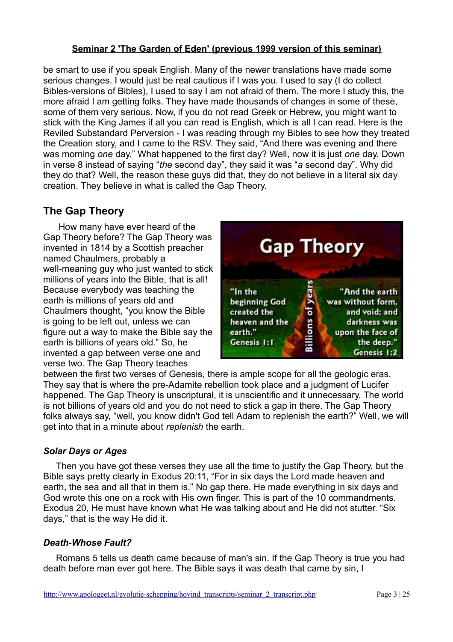be smart to use if you speak English. Many of the newer translations have made some serious changes. I would just be real cautious if I was you. I used to say (I do collect Bibles-versions of Bibles), I used to say I am not afraid of them. The more I study this, the more afraid I am getting folks. They have made thousands of changes in some of these, some of them very serious. Now, if you do not read Greek or Hebrew, you might want to stick with the King James if all you can read is English, which is all I can read. Here is the Reviled Substandard Perversion - I was reading through my Bibles to see how they treated the Creation story, and I came to the RSV. They said, "And there was evening and there was morning *one* day." What happened to the first day? Well, now it is just *one* day. Down in verse 8 instead of saying "*the* second day", they said it was "*a* second day". Why did they do that? Well, the reason these guys did that, they do not believe in a literal six day creation. They believe in what is called the Gap Theory.

# **The Gap Theory**

 How many have ever heard of the Gap Theory before? The Gap Theory was invented in 1814 by a Scottish preacher named Chaulmers, probably a well-meaning guy who just wanted to stick millions of years into the Bible, that is all! Because everybody was teaching the earth is millions of years old and Chaulmers thought, "you know the Bible is going to be left out, unless we can figure out a way to make the Bible say the earth is billions of years old." So, he invented a gap between verse one and verse two. The Gap Theory teaches



between the first two verses of Genesis, there is ample scope for all the geologic eras. They say that is where the pre-Adamite rebellion took place and a judgment of Lucifer happened. The Gap Theory is unscriptural, it is unscientific and it unnecessary. The world is not billions of years old and you do not need to stick a gap in there. The Gap Theory folks always say, "well, you know didn't God tell Adam to replenish the earth?" Well, we will get into that in a minute about *replenish* the earth.

### *Solar Days or Ages*

Then you have got these verses they use all the time to justify the Gap Theory, but the Bible says pretty clearly in Exodus 20:11, "For in six days the Lord made heaven and earth, the sea and all that in them is." No gap there. He made everything in six days and God wrote this one on a rock with His own finger. This is part of the 10 commandments. Exodus 20, He must have known what He was talking about and He did not stutter. "Six days," that is the way He did it.

### *Death-Whose Fault?*

Romans 5 tells us death came because of man's sin. If the Gap Theory is true you had death before man ever got here. The Bible says it was death that came by sin, I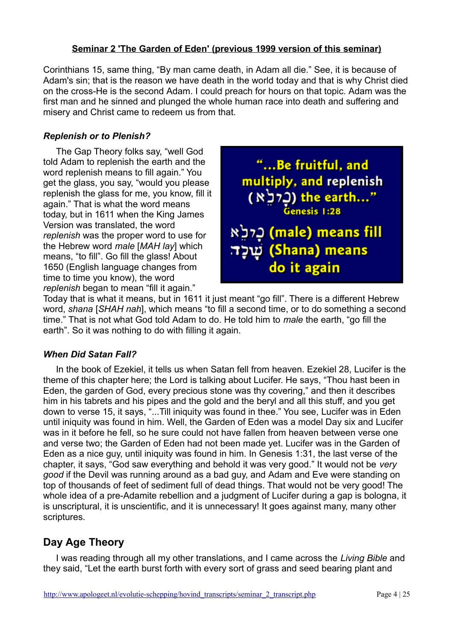Corinthians 15, same thing, "By man came death, in Adam all die." See, it is because of Adam's sin; that is the reason we have death in the world today and that is why Christ died on the cross-He is the second Adam. I could preach for hours on that topic. Adam was the first man and he sinned and plunged the whole human race into death and suffering and misery and Christ came to redeem us from that.

#### *Replenish or to Plenish?*

The Gap Theory folks say, "well God told Adam to replenish the earth and the word replenish means to fill again." You get the glass, you say, "would you please replenish the glass for me, you know, fill it again." That is what the word means today, but in 1611 when the King James Version was translated, the word *replenish* was the proper word to use for the Hebrew word *male* [*MAH lay*] which means, "to fill". Go fill the glass! About 1650 (English language changes from time to time you know), the word *replenish* began to mean "fill it again."



Today that is what it means, but in 1611 it just meant "go fill". There is a different Hebrew word, *shana* [*SHAH nah*], which means "to fill a second time, or to do something a second time." That is not what God told Adam to do. He told him to *male* the earth, "go fill the earth". So it was nothing to do with filling it again.

#### *When Did Satan Fall?*

In the book of Ezekiel, it tells us when Satan fell from heaven. Ezekiel 28, Lucifer is the theme of this chapter here; the Lord is talking about Lucifer. He says, "Thou hast been in Eden, the garden of God, every precious stone was thy covering," and then it describes him in his tabrets and his pipes and the gold and the beryl and all this stuff, and you get down to verse 15, it says, "...Till iniquity was found in thee." You see, Lucifer was in Eden until iniquity was found in him. Well, the Garden of Eden was a model Day six and Lucifer was in it before he fell, so he sure could not have fallen from heaven between verse one and verse two; the Garden of Eden had not been made yet. Lucifer was in the Garden of Eden as a nice guy, until iniquity was found in him. In Genesis 1:31, the last verse of the chapter, it says, "God saw everything and behold it was very good." It would not be *very good* if the Devil was running around as a bad guy, and Adam and Eve were standing on top of thousands of feet of sediment full of dead things. That would not be very good! The whole idea of a pre-Adamite rebellion and a judgment of Lucifer during a gap is bologna, it is unscriptural, it is unscientific, and it is unnecessary! It goes against many, many other scriptures.

# **Day Age Theory**

I was reading through all my other translations, and I came across the *Living Bible* and they said, "Let the earth burst forth with every sort of grass and seed bearing plant and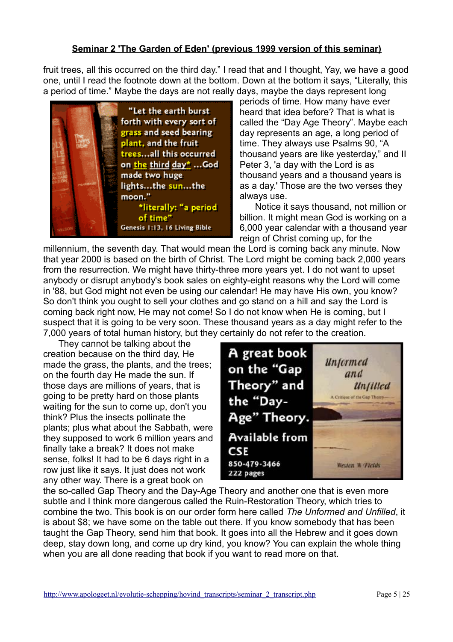fruit trees, all this occurred on the third day." I read that and I thought, Yay, we have a good one, until I read the footnote down at the bottom. Down at the bottom it says, "Literally, this a period of time." Maybe the days are not really days, maybe the days represent long



periods of time. How many have ever heard that idea before? That is what is called the "Day Age Theory". Maybe each day represents an age, a long period of time. They always use Psalms 90, "A thousand years are like yesterday," and II Peter 3, 'a day with the Lord is as thousand years and a thousand years is as a day.' Those are the two verses they always use.

 Notice it says thousand, not million or billion. It might mean God is working on a 6,000 year calendar with a thousand year reign of Christ coming up, for the

millennium, the seventh day. That would mean the Lord is coming back any minute. Now that year 2000 is based on the birth of Christ. The Lord might be coming back 2,000 years from the resurrection. We might have thirty-three more years yet. I do not want to upset anybody or disrupt anybody's book sales on eighty-eight reasons why the Lord will come in '88, but God might not even be using our calendar! He may have His own, you know? So don't think you ought to sell your clothes and go stand on a hill and say the Lord is coming back right now, He may not come! So I do not know when He is coming, but I suspect that it is going to be very soon. These thousand years as a day might refer to the 7,000 years of total human history, but they certainly do not refer to the creation.

 They cannot be talking about the creation because on the third day, He made the grass, the plants, and the trees; on the fourth day He made the sun. If those days are millions of years, that is going to be pretty hard on those plants waiting for the sun to come up, don't you think? Plus the insects pollinate the plants; plus what about the Sabbath, were they supposed to work 6 million years and finally take a break? It does not make sense, folks! It had to be 6 days right in a row just like it says. It just does not work any other way. There is a great book on



the so-called Gap Theory and the Day-Age Theory and another one that is even more subtle and I think more dangerous called the Ruin-Restoration Theory, which tries to combine the two. This book is on our order form here called *The Unformed and Unfilled*, it is about \$8; we have some on the table out there. If you know somebody that has been taught the Gap Theory, send him that book. It goes into all the Hebrew and it goes down deep, stay down long, and come up dry kind, you know? You can explain the whole thing when you are all done reading that book if you want to read more on that.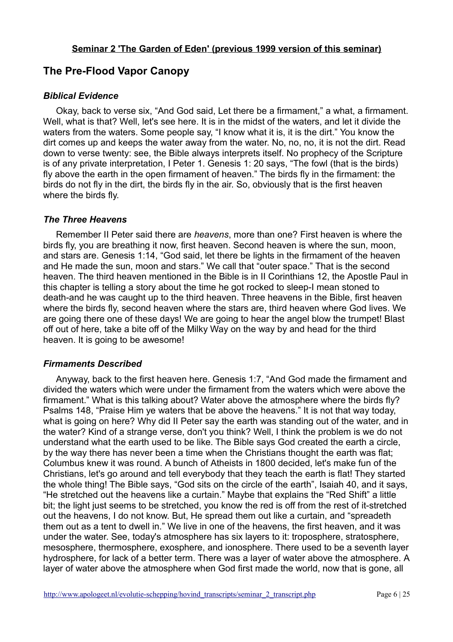# **The Pre-Flood Vapor Canopy**

#### *Biblical Evidence*

Okay, back to verse six, "And God said, Let there be a firmament," a what, a firmament. Well, what is that? Well, let's see here. It is in the midst of the waters, and let it divide the waters from the waters. Some people say, "I know what it is, it is the dirt." You know the dirt comes up and keeps the water away from the water. No, no, no, it is not the dirt. Read down to verse twenty: see, the Bible always interprets itself. No prophecy of the Scripture is of any private interpretation, I Peter 1. Genesis 1: 20 says, "The fowl (that is the birds) fly above the earth in the open firmament of heaven." The birds fly in the firmament: the birds do not fly in the dirt, the birds fly in the air. So, obviously that is the first heaven where the birds fly.

#### *The Three Heavens*

Remember II Peter said there are *heavens*, more than one? First heaven is where the birds fly, you are breathing it now, first heaven. Second heaven is where the sun, moon, and stars are. Genesis 1:14, "God said, let there be lights in the firmament of the heaven and He made the sun, moon and stars." We call that "outer space." That is the second heaven. The third heaven mentioned in the Bible is in II Corinthians 12, the Apostle Paul in this chapter is telling a story about the time he got rocked to sleep-I mean stoned to death-and he was caught up to the third heaven. Three heavens in the Bible, first heaven where the birds fly, second heaven where the stars are, third heaven where God lives. We are going there one of these days! We are going to hear the angel blow the trumpet! Blast off out of here, take a bite off of the Milky Way on the way by and head for the third heaven. It is going to be awesome!

#### *Firmaments Described*

Anyway, back to the first heaven here. Genesis 1:7, "And God made the firmament and divided the waters which were under the firmament from the waters which were above the firmament." What is this talking about? Water above the atmosphere where the birds fly? Psalms 148, "Praise Him ye waters that be above the heavens." It is not that way today, what is going on here? Why did II Peter say the earth was standing out of the water, and in the water? Kind of a strange verse, don't you think? Well, I think the problem is we do not understand what the earth used to be like. The Bible says God created the earth a circle, by the way there has never been a time when the Christians thought the earth was flat; Columbus knew it was round. A bunch of Atheists in 1800 decided, let's make fun of the Christians, let's go around and tell everybody that they teach the earth is flat! They started the whole thing! The Bible says, "God sits on the circle of the earth", Isaiah 40, and it says, "He stretched out the heavens like a curtain." Maybe that explains the "Red Shift" a little bit; the light just seems to be stretched, you know the red is off from the rest of it-stretched out the heavens, I do not know. But, He spread them out like a curtain, and "spreadeth them out as a tent to dwell in." We live in one of the heavens, the first heaven, and it was under the water. See, today's atmosphere has six layers to it: troposphere, stratosphere, mesosphere, thermosphere, exosphere, and ionosphere. There used to be a seventh layer hydrosphere, for lack of a better term. There was a layer of water above the atmosphere. A layer of water above the atmosphere when God first made the world, now that is gone, all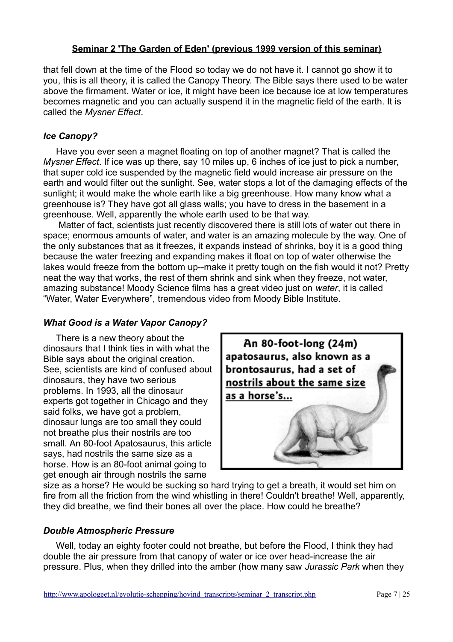that fell down at the time of the Flood so today we do not have it. I cannot go show it to you, this is all theory, it is called the Canopy Theory. The Bible says there used to be water above the firmament. Water or ice, it might have been ice because ice at low temperatures becomes magnetic and you can actually suspend it in the magnetic field of the earth. It is called the *Mysner Effect*.

#### *Ice Canopy?*

Have you ever seen a magnet floating on top of another magnet? That is called the *Mysner Effect*. If ice was up there, say 10 miles up, 6 inches of ice just to pick a number, that super cold ice suspended by the magnetic field would increase air pressure on the earth and would filter out the sunlight. See, water stops a lot of the damaging effects of the sunlight; it would make the whole earth like a big greenhouse. How many know what a greenhouse is? They have got all glass walls; you have to dress in the basement in a greenhouse. Well, apparently the whole earth used to be that way.

 Matter of fact, scientists just recently discovered there is still lots of water out there in space; enormous amounts of water, and water is an amazing molecule by the way. One of the only substances that as it freezes, it expands instead of shrinks, boy it is a good thing because the water freezing and expanding makes it float on top of water otherwise the lakes would freeze from the bottom up--make it pretty tough on the fish would it not? Pretty neat the way that works, the rest of them shrink and sink when they freeze, not water, amazing substance! Moody Science films has a great video just on *water*, it is called "Water, Water Everywhere", tremendous video from Moody Bible Institute.

#### *What Good is a Water Vapor Canopy?*

There is a new theory about the dinosaurs that I think ties in with what the Bible says about the original creation. See, scientists are kind of confused about dinosaurs, they have two serious problems. In 1993, all the dinosaur experts got together in Chicago and they said folks, we have got a problem, dinosaur lungs are too small they could not breathe plus their nostrils are too small. An 80-foot Apatosaurus, this article says, had nostrils the same size as a horse. How is an 80-foot animal going to get enough air through nostrils the same



size as a horse? He would be sucking so hard trying to get a breath, it would set him on fire from all the friction from the wind whistling in there! Couldn't breathe! Well, apparently, they did breathe, we find their bones all over the place. How could he breathe?

#### *Double Atmospheric Pressure*

Well, today an eighty footer could not breathe, but before the Flood, I think they had double the air pressure from that canopy of water or ice over head-increase the air pressure. Plus, when they drilled into the amber (how many saw *Jurassic Park* when they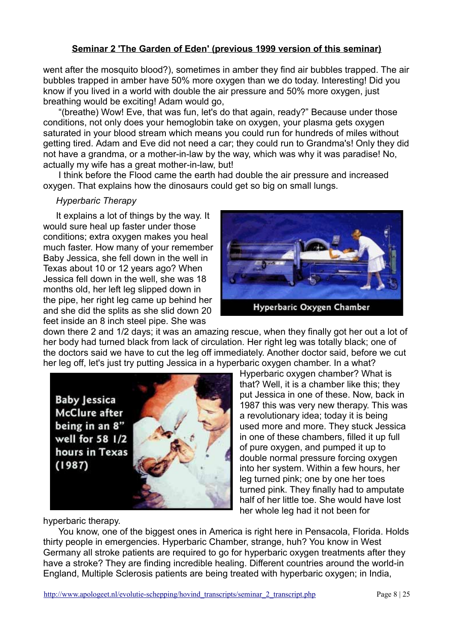went after the mosquito blood?), sometimes in amber they find air bubbles trapped. The air bubbles trapped in amber have 50% more oxygen than we do today. Interesting! Did you know if you lived in a world with double the air pressure and 50% more oxygen, just breathing would be exciting! Adam would go,

 "(breathe) Wow! Eve, that was fun, let's do that again, ready?" Because under those conditions, not only does your hemoglobin take on oxygen, your plasma gets oxygen saturated in your blood stream which means you could run for hundreds of miles without getting tired. Adam and Eve did not need a car; they could run to Grandma's! Only they did not have a grandma, or a mother-in-law by the way, which was why it was paradise! No, actually my wife has a great mother-in-law, but!

 I think before the Flood came the earth had double the air pressure and increased oxygen. That explains how the dinosaurs could get so big on small lungs.

#### *Hyperbaric Therapy*

It explains a lot of things by the way. It would sure heal up faster under those conditions; extra oxygen makes you heal much faster. How many of your remember Baby Jessica, she fell down in the well in Texas about 10 or 12 years ago? When Jessica fell down in the well, she was 18 months old, her left leg slipped down in the pipe, her right leg came up behind her and she did the splits as she slid down 20 feet inside an 8 inch steel pipe. She was



down there 2 and 1/2 days; it was an amazing rescue, when they finally got her out a lot of her body had turned black from lack of circulation. Her right leg was totally black; one of the doctors said we have to cut the leg off immediately. Another doctor said, before we cut her leg off, let's just try putting Jessica in a hyperbaric oxygen chamber. In a what?



Hyperbaric oxygen chamber? What is that? Well, it is a chamber like this; they put Jessica in one of these. Now, back in 1987 this was very new therapy. This was a revolutionary idea; today it is being used more and more. They stuck Jessica in one of these chambers, filled it up full of pure oxygen, and pumped it up to double normal pressure forcing oxygen into her system. Within a few hours, her leg turned pink; one by one her toes turned pink. They finally had to amputate half of her little toe. She would have lost her whole leg had it not been for

hyperbaric therapy.

You know, one of the biggest ones in America is right here in Pensacola, Florida, Holds thirty people in emergencies. Hyperbaric Chamber, strange, huh? You know in West Germany all stroke patients are required to go for hyperbaric oxygen treatments after they have a stroke? They are finding incredible healing. Different countries around the world-in England, Multiple Sclerosis patients are being treated with hyperbaric oxygen; in India,

http://www.apologeet.nl/evolutie-schepping/hovind\_transcripts/seminar\_2\_transcript.php Page 8 | 25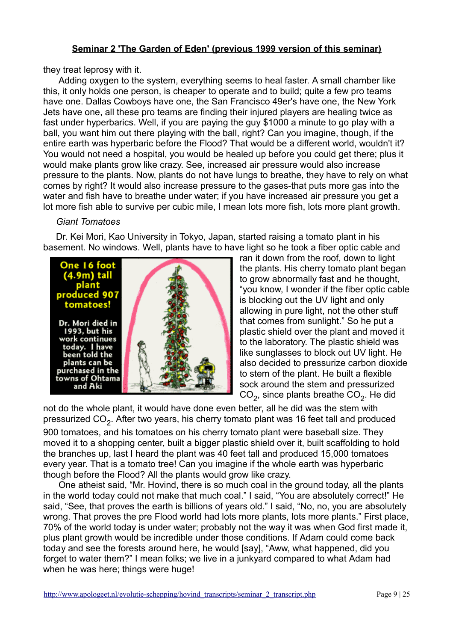they treat leprosy with it.

 Adding oxygen to the system, everything seems to heal faster. A small chamber like this, it only holds one person, is cheaper to operate and to build; quite a few pro teams have one. Dallas Cowboys have one, the San Francisco 49er's have one, the New York Jets have one, all these pro teams are finding their injured players are healing twice as fast under hyperbarics. Well, if you are paying the guy \$1000 a minute to go play with a ball, you want him out there playing with the ball, right? Can you imagine, though, if the entire earth was hyperbaric before the Flood? That would be a different world, wouldn't it? You would not need a hospital, you would be healed up before you could get there; plus it would make plants grow like crazy. See, increased air pressure would also increase pressure to the plants. Now, plants do not have lungs to breathe, they have to rely on what comes by right? It would also increase pressure to the gases-that puts more gas into the water and fish have to breathe under water; if you have increased air pressure you get a lot more fish able to survive per cubic mile, I mean lots more fish, lots more plant growth.

#### *Giant Tomatoes*

Dr. Kei Mori, Kao University in Tokyo, Japan, started raising a tomato plant in his basement. No windows. Well, plants have to have light so he took a fiber optic cable and



ran it down from the roof, down to light the plants. His cherry tomato plant began to grow abnormally fast and he thought, "you know, I wonder if the fiber optic cable is blocking out the UV light and only allowing in pure light, not the other stuff that comes from sunlight." So he put a plastic shield over the plant and moved it to the laboratory. The plastic shield was like sunglasses to block out UV light. He also decided to pressurize carbon dioxide to stem of the plant. He built a flexible sock around the stem and pressurized  $\text{CO}_2$ , since plants breathe  $\text{CO}_2$ . He did

not do the whole plant, it would have done even better, all he did was the stem with pressurized CO<sub>2</sub>. After two years, his cherry tomato plant was 16 feet tall and produced

900 tomatoes, and his tomatoes on his cherry tomato plant were baseball size. They moved it to a shopping center, built a bigger plastic shield over it, built scaffolding to hold the branches up, last I heard the plant was 40 feet tall and produced 15,000 tomatoes every year. That is a tomato tree! Can you imagine if the whole earth was hyperbaric though before the Flood? All the plants would grow like crazy.

 One atheist said, "Mr. Hovind, there is so much coal in the ground today, all the plants in the world today could not make that much coal." I said, "You are absolutely correct!" He said, "See, that proves the earth is billions of years old." I said, "No, no, you are absolutely wrong. That proves the pre Flood world had lots more plants, lots more plants." First place, 70% of the world today is under water; probably not the way it was when God first made it, plus plant growth would be incredible under those conditions. If Adam could come back today and see the forests around here, he would [say], "Aww, what happened, did you forget to water them?" I mean folks; we live in a junkyard compared to what Adam had when he was here; things were huge!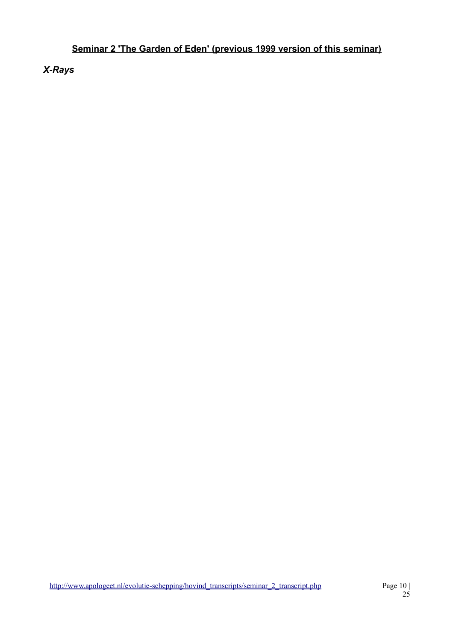*X-Rays*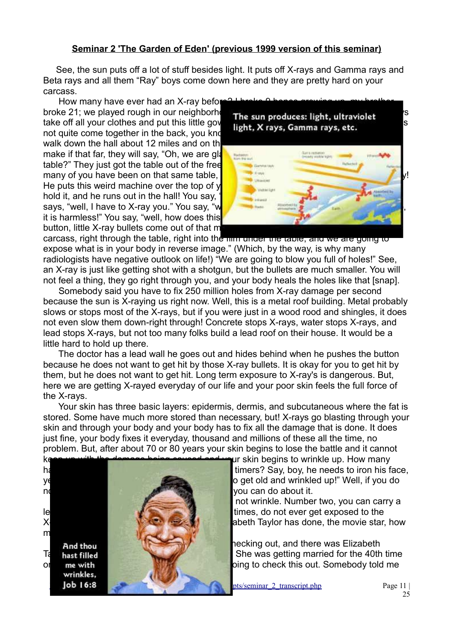See, the sun puts off a lot of stuff besides light. It puts off X-rays and Gamma rays and Beta rays and all them "Ray" boys come down here and they are pretty hard on your carcass.

How many have ever had an X-ray before not quite come together in the back, you know walk down the hall about 12 miles and on the make if that far, they will say, "Oh, we are glast table?" They just got the table out of the free He puts this weird machine over the top of v hold it, and he runs out in the hall! You say, says, "well, I have to X-ray you." You say, "w it is harmless!" You say, "well, how does this button, little X-ray bullets come out of that m



carcass, right through the table, right into the film under the table, and we are going to expose what is in your body in reverse image." (Which, by the way, is why many radiologists have negative outlook on life!) "We are going to blow you full of holes!" See, an X-ray is just like getting shot with a shotgun, but the bullets are much smaller. You will not feel a thing, they go right through you, and your body heals the holes like that [snap].

 Somebody said you have to fix 250 million holes from X-ray damage per second because the sun is X-raying us right now. Well, this is a metal roof building. Metal probably slows or stops most of the X-rays, but if you were just in a wood rood and shingles, it does not even slow them down-right through! Concrete stops X-rays, water stops X-rays, and lead stops X-rays, but not too many folks build a lead roof on their house. It would be a little hard to hold up there.

 The doctor has a lead wall he goes out and hides behind when he pushes the button because he does not want to get hit by those X-ray bullets. It is okay for you to get hit by them, but he does not want to get hit. Long term exposure to X-ray's is dangerous. But, here we are getting X-rayed everyday of our life and your poor skin feels the full force of the X-rays.

 Your skin has three basic layers: epidermis, dermis, and subcutaneous where the fat is stored. Some have much more stored than necessary, but! X-rays go blasting through your skin and through your body and your body has to fix all the damage that is done. It does just fine, your body fixes it everyday, thousand and millions of these all the time, no problem. But, after about 70 or 80 years your skin begins to lose the battle and it cannot

wrinkles,



have not controlled a few writing a few writing timers? Say, boy, he needs to iron his face, ye perfect say, "Brother Hoving, I do get old and wrinkled up!" Well, if you do

not wrinkle. Number two, you can carry a lead or concrete unit of the state unit of the state unit of the state unit of the state unit of the state unit of the state unit of the state unit of the state unit of the state unit of the state unit of the state unit of X-rays or, number three, you can do what Elizabeth Taylor has done, the movie star, how

**And their was Elizabeth And there was Elizabeth** Taylor's piast filled the magazine rack best She was getting married for the 40th time or some with the south in the south of thought in the south of thought in the somebody told me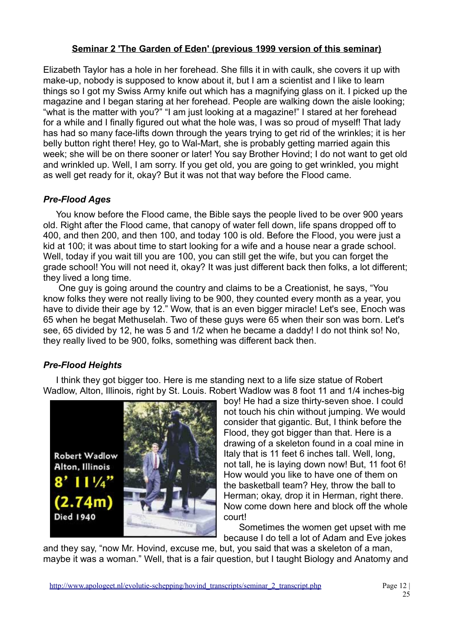Elizabeth Taylor has a hole in her forehead. She fills it in with caulk, she covers it up with make-up, nobody is supposed to know about it, but I am a scientist and I like to learn things so I got my Swiss Army knife out which has a magnifying glass on it. I picked up the magazine and I began staring at her forehead. People are walking down the aisle looking; "what is the matter with you?" "I am just looking at a magazine!" I stared at her forehead for a while and I finally figured out what the hole was, I was so proud of myself! That lady has had so many face-lifts down through the years trying to get rid of the wrinkles; it is her belly button right there! Hey, go to Wal-Mart, she is probably getting married again this week; she will be on there sooner or later! You say Brother Hovind; I do not want to get old and wrinkled up. Well, I am sorry. If you get old, you are going to get wrinkled, you might as well get ready for it, okay? But it was not that way before the Flood came.

## *Pre-Flood Ages*

You know before the Flood came, the Bible says the people lived to be over 900 years old. Right after the Flood came, that canopy of water fell down, life spans dropped off to 400, and then 200, and then 100, and today 100 is old. Before the Flood, you were just a kid at 100; it was about time to start looking for a wife and a house near a grade school. Well, today if you wait till you are 100, you can still get the wife, but you can forget the grade school! You will not need it, okay? It was just different back then folks, a lot different; they lived a long time.

 One guy is going around the country and claims to be a Creationist, he says, "You know folks they were not really living to be 900, they counted every month as a year, you have to divide their age by 12." Wow, that is an even bigger miracle! Let's see, Enoch was 65 when he begat Methuselah. Two of these guys were 65 when their son was born. Let's see, 65 divided by 12, he was 5 and 1/2 when he became a daddy! I do not think so! No, they really lived to be 900, folks, something was different back then.

## *Pre-Flood Heights*

I think they got bigger too. Here is me standing next to a life size statue of Robert Wadlow, Alton, Illinois, right by St. Louis. Robert Wadlow was 8 foot 11 and 1/4 inches-big



boy! He had a size thirty-seven shoe. I could not touch his chin without jumping. We would consider that gigantic. But, I think before the Flood, they got bigger than that. Here is a drawing of a skeleton found in a coal mine in Italy that is 11 feet 6 inches tall. Well, long, not tall, he is laying down now! But, 11 foot 6! How would you like to have one of them on the basketball team? Hey, throw the ball to Herman; okay, drop it in Herman, right there. Now come down here and block off the whole court!

 Sometimes the women get upset with me because I do tell a lot of Adam and Eve jokes

and they say, "now Mr. Hovind, excuse me, but, you said that was a skeleton of a man, maybe it was a woman." Well, that is a fair question, but I taught Biology and Anatomy and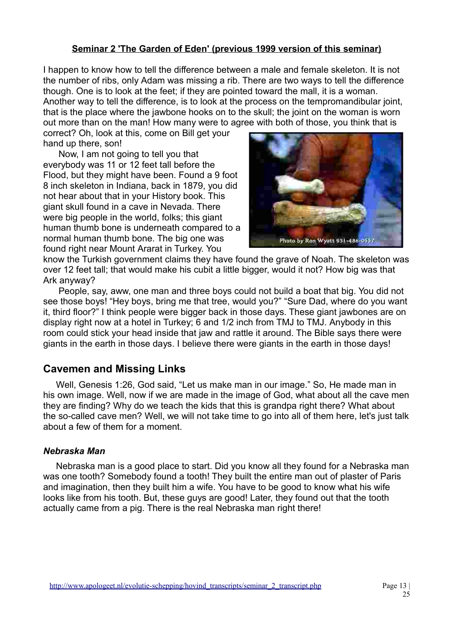I happen to know how to tell the difference between a male and female skeleton. It is not the number of ribs, only Adam was missing a rib. There are two ways to tell the difference though. One is to look at the feet; if they are pointed toward the mall, it is a woman. Another way to tell the difference, is to look at the process on the tempromandibular joint, that is the place where the jawbone hooks on to the skull; the joint on the woman is worn out more than on the man! How many were to agree with both of those, you think that is

correct? Oh, look at this, come on Bill get your hand up there, son!

 Now, I am not going to tell you that everybody was 11 or 12 feet tall before the Flood, but they might have been. Found a 9 foot 8 inch skeleton in Indiana, back in 1879, you did not hear about that in your History book. This giant skull found in a cave in Nevada. There were big people in the world, folks; this giant human thumb bone is underneath compared to a normal human thumb bone. The big one was found right near Mount Ararat in Turkey. You



know the Turkish government claims they have found the grave of Noah. The skeleton was over 12 feet tall; that would make his cubit a little bigger, would it not? How big was that Ark anyway?

 People, say, aww, one man and three boys could not build a boat that big. You did not see those boys! "Hey boys, bring me that tree, would you?" "Sure Dad, where do you want it, third floor?" I think people were bigger back in those days. These giant jawbones are on display right now at a hotel in Turkey; 6 and 1/2 inch from TMJ to TMJ. Anybody in this room could stick your head inside that jaw and rattle it around. The Bible says there were giants in the earth in those days. I believe there were giants in the earth in those days!

# **Cavemen and Missing Links**

Well, Genesis 1:26, God said, "Let us make man in our image." So, He made man in his own image. Well, now if we are made in the image of God, what about all the cave men they are finding? Why do we teach the kids that this is grandpa right there? What about the so-called cave men? Well, we will not take time to go into all of them here, let's just talk about a few of them for a moment.

### *Nebraska Man*

Nebraska man is a good place to start. Did you know all they found for a Nebraska man was one tooth? Somebody found a tooth! They built the entire man out of plaster of Paris and imagination, then they built him a wife. You have to be good to know what his wife looks like from his tooth. But, these guys are good! Later, they found out that the tooth actually came from a pig. There is the real Nebraska man right there!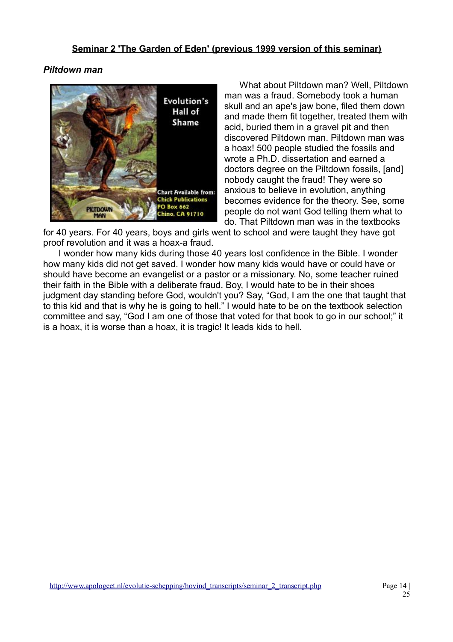#### *Piltdown man*



 What about Piltdown man? Well, Piltdown man was a fraud. Somebody took a human skull and an ape's jaw bone, filed them down and made them fit together, treated them with acid, buried them in a gravel pit and then discovered Piltdown man. Piltdown man was a hoax! 500 people studied the fossils and wrote a Ph.D. dissertation and earned a doctors degree on the Piltdown fossils, [and] nobody caught the fraud! They were so anxious to believe in evolution, anything becomes evidence for the theory. See, some people do not want God telling them what to do. That Piltdown man was in the textbooks

for 40 years. For 40 years, boys and girls went to school and were taught they have got proof revolution and it was a hoax-a fraud.

 I wonder how many kids during those 40 years lost confidence in the Bible. I wonder how many kids did not get saved. I wonder how many kids would have or could have or should have become an evangelist or a pastor or a missionary. No, some teacher ruined their faith in the Bible with a deliberate fraud. Boy, I would hate to be in their shoes judgment day standing before God, wouldn't you? Say, "God, I am the one that taught that to this kid and that is why he is going to hell." I would hate to be on the textbook selection committee and say, "God I am one of those that voted for that book to go in our school;" it is a hoax, it is worse than a hoax, it is tragic! It leads kids to hell.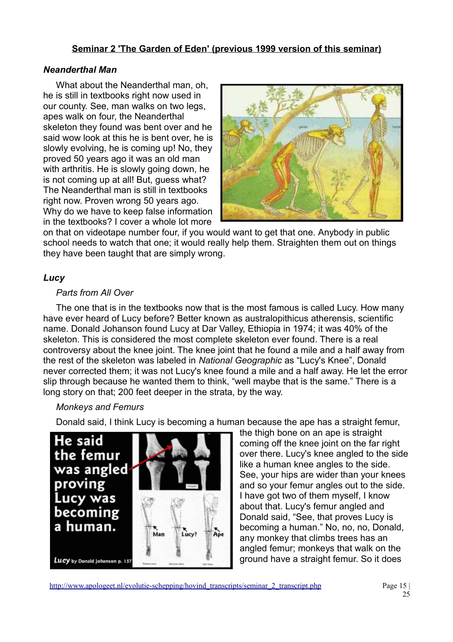## *Neanderthal Man*

What about the Neanderthal man, oh, he is still in textbooks right now used in our county. See, man walks on two legs, apes walk on four, the Neanderthal skeleton they found was bent over and he said wow look at this he is bent over, he is slowly evolving, he is coming up! No, they proved 50 years ago it was an old man with arthritis. He is slowly going down, he is not coming up at all! But, guess what? The Neanderthal man is still in textbooks right now. Proven wrong 50 years ago. Why do we have to keep false information in the textbooks? I cover a whole lot more



on that on videotape number four, if you would want to get that one. Anybody in public school needs to watch that one; it would really help them. Straighten them out on things they have been taught that are simply wrong.

## *Lucy*

## *Parts from All Over*

The one that is in the textbooks now that is the most famous is called Lucy. How many have ever heard of Lucy before? Better known as australopithicus atherensis, scientific name. Donald Johanson found Lucy at Dar Valley, Ethiopia in 1974; it was 40% of the skeleton. This is considered the most complete skeleton ever found. There is a real controversy about the knee joint. The knee joint that he found a mile and a half away from the rest of the skeleton was labeled in *National Geographic* as "Lucy's Knee", Donald never corrected them; it was not Lucy's knee found a mile and a half away. He let the error slip through because he wanted them to think, "well maybe that is the same." There is a long story on that; 200 feet deeper in the strata, by the way.

### *Monkeys and Femurs*

Donald said, I think Lucy is becoming a human because the ape has a straight femur,



the thigh bone on an ape is straight coming off the knee joint on the far right over there. Lucy's knee angled to the side like a human knee angles to the side. See, your hips are wider than your knees and so your femur angles out to the side. I have got two of them myself, I know about that. Lucy's femur angled and Donald said, "See, that proves Lucy is becoming a human." No, no, no, Donald, any monkey that climbs trees has an angled femur; monkeys that walk on the ground have a straight femur. So it does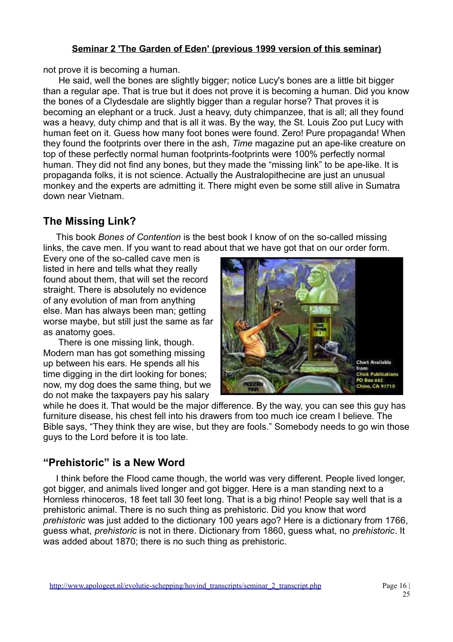not prove it is becoming a human.

 He said, well the bones are slightly bigger; notice Lucy's bones are a little bit bigger than a regular ape. That is true but it does not prove it is becoming a human. Did you know the bones of a Clydesdale are slightly bigger than a regular horse? That proves it is becoming an elephant or a truck. Just a heavy, duty chimpanzee, that is all; all they found was a heavy, duty chimp and that is all it was. By the way, the St. Louis Zoo put Lucy with human feet on it. Guess how many foot bones were found. Zero! Pure propaganda! When they found the footprints over there in the ash, *Time* magazine put an ape-like creature on top of these perfectly normal human footprints-footprints were 100% perfectly normal human. They did not find any bones, but they made the "missing link" to be ape-like. It is propaganda folks, it is not science. Actually the Australopithecine are just an unusual monkey and the experts are admitting it. There might even be some still alive in Sumatra down near Vietnam.

# **The Missing Link?**

This book *Bones of Contention* is the best book I know of on the so-called missing links, the cave men. If you want to read about that we have got that on our order form.

Every one of the so-called cave men is listed in here and tells what they really found about them, that will set the record straight. There is absolutely no evidence of any evolution of man from anything else. Man has always been man; getting worse maybe, but still just the same as far as anatomy goes.

 There is one missing link, though. Modern man has got something missing up between his ears. He spends all his time digging in the dirt looking for bones; now, my dog does the same thing, but we do not make the taxpayers pay his salary



while he does it. That would be the major difference. By the way, you can see this guy has furniture disease, his chest fell into his drawers from too much ice cream I believe. The Bible says, "They think they are wise, but they are fools." Somebody needs to go win those guys to the Lord before it is too late.

# **"Prehistoric" is a New Word**

I think before the Flood came though, the world was very different. People lived longer, got bigger, and animals lived longer and got bigger. Here is a man standing next to a Hornless rhinoceros, 18 feet tall 30 feet long. That is a big rhino! People say well that is a prehistoric animal. There is no such thing as prehistoric. Did you know that word *prehistoric* was just added to the dictionary 100 years ago? Here is a dictionary from 1766, guess what, *prehistoric* is not in there. Dictionary from 1860, guess what, no *prehistoric*. It was added about 1870; there is no such thing as prehistoric.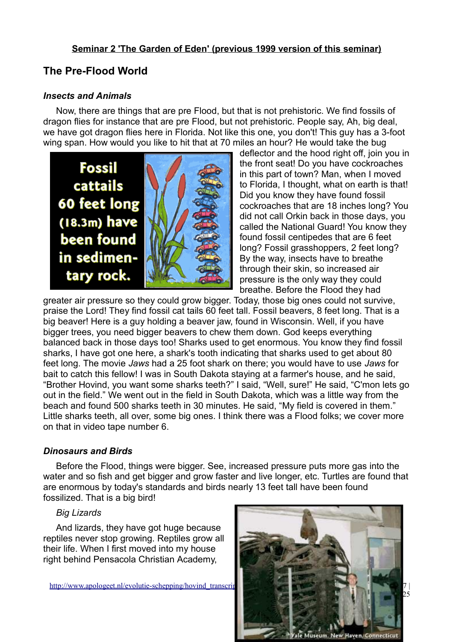# **The Pre-Flood World**

#### *Insects and Animals*

Now, there are things that are pre Flood, but that is not prehistoric. We find fossils of dragon flies for instance that are pre Flood, but not prehistoric. People say, Ah, big deal, we have got dragon flies here in Florida. Not like this one, you don't! This guy has a 3-foot wing span. How would you like to hit that at 70 miles an hour? He would take the bug



deflector and the hood right off, join you in the front seat! Do you have cockroaches in this part of town? Man, when I moved to Florida, I thought, what on earth is that! Did you know they have found fossil cockroaches that are 18 inches long? You did not call Orkin back in those days, you called the National Guard! You know they found fossil centipedes that are 6 feet long? Fossil grasshoppers, 2 feet long? By the way, insects have to breathe through their skin, so increased air pressure is the only way they could breathe. Before the Flood they had

greater air pressure so they could grow bigger. Today, those big ones could not survive, praise the Lord! They find fossil cat tails 60 feet tall. Fossil beavers, 8 feet long. That is a big beaver! Here is a guy holding a beaver jaw, found in Wisconsin. Well, if you have bigger trees, you need bigger beavers to chew them down. God keeps everything balanced back in those days too! Sharks used to get enormous. You know they find fossil sharks, I have got one here, a shark's tooth indicating that sharks used to get about 80 feet long. The movie *Jaws* had a 25 foot shark on there; you would have to use *Jaws* for bait to catch this fellow! I was in South Dakota staying at a farmer's house, and he said, "Brother Hovind, you want some sharks teeth?" I said, "Well, sure!" He said, "C'mon lets go out in the field." We went out in the field in South Dakota, which was a little way from the beach and found 500 sharks teeth in 30 minutes. He said, "My field is covered in them." Little sharks teeth, all over, some big ones. I think there was a Flood folks; we cover more on that in video tape number 6.

### *Dinosaurs and Birds*

Before the Flood, things were bigger. See, increased pressure puts more gas into the water and so fish and get bigger and grow faster and live longer, etc. Turtles are found that are enormous by today's standards and birds nearly 13 feet tall have been found fossilized. That is a big bird!

### *Big Lizards*

And lizards, they have got huge because reptiles never stop growing. Reptiles grow all their life. When I first moved into my house right behind Pensacola Christian Academy,

http://www.apologeet.nl/evolutie-schepping/hovind\_transcript

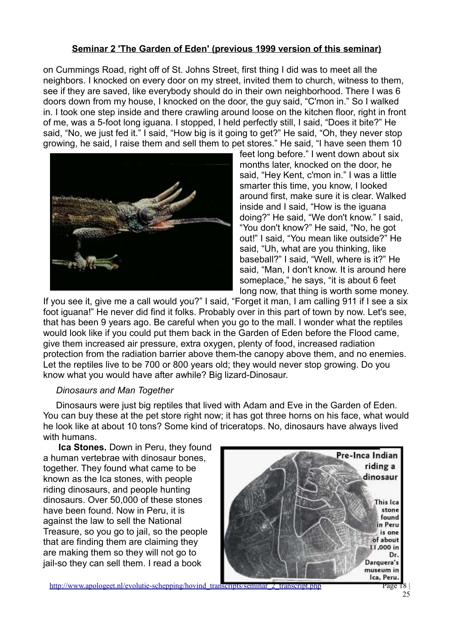on Cummings Road, right off of St. Johns Street, first thing I did was to meet all the neighbors. I knocked on every door on my street, invited them to church, witness to them, see if they are saved, like everybody should do in their own neighborhood. There I was 6 doors down from my house, I knocked on the door, the guy said, "C'mon in." So I walked in. I took one step inside and there crawling around loose on the kitchen floor, right in front of me, was a 5-foot long iguana. I stopped, I held perfectly still, I said, "Does it bite?" He said, "No, we just fed it." I said, "How big is it going to get?" He said, "Oh, they never stop growing, he said, I raise them and sell them to pet stores." He said, "I have seen them 10



feet long before." I went down about six months later, knocked on the door, he said, "Hey Kent, c'mon in." I was a little smarter this time, you know, I looked around first, make sure it is clear. Walked inside and I said, "How is the iguana doing?" He said, "We don't know." I said, "You don't know?" He said, "No, he got out!" I said, "You mean like outside?" He said, "Uh, what are you thinking, like baseball?" I said, "Well, where is it?" He said, "Man, I don't know. It is around here someplace," he says, "it is about 6 feet long now, that thing is worth some money.

If you see it, give me a call would you?" I said, "Forget it man, I am calling 911 if I see a six foot iguana!" He never did find it folks. Probably over in this part of town by now. Let's see, that has been 9 years ago. Be careful when you go to the mall. I wonder what the reptiles would look like if you could put them back in the Garden of Eden before the Flood came, give them increased air pressure, extra oxygen, plenty of food, increased radiation protection from the radiation barrier above them-the canopy above them, and no enemies. Let the reptiles live to be 700 or 800 years old; they would never stop growing. Do you know what you would have after awhile? Big lizard-Dinosaur.

#### *Dinosaurs and Man Together*

Dinosaurs were just big reptiles that lived with Adam and Eve in the Garden of Eden. You can buy these at the pet store right now; it has got three horns on his face, what would he look like at about 10 tons? Some kind of triceratops. No, dinosaurs have always lived with humans.

**Ica Stones.** Down in Peru, they found a human vertebrae with dinosaur bones, together. They found what came to be known as the Ica stones, with people riding dinosaurs, and people hunting dinosaurs. Over 50,000 of these stones have been found. Now in Peru, it is against the law to sell the National Treasure, so you go to jail, so the people that are finding them are claiming they are making them so they will not go to jail-so they can sell them. I read a book



http://www.apologeet.nl/evolutie-schepping/hovind\_transcripts/seminar\_2\_transcript.php Page 18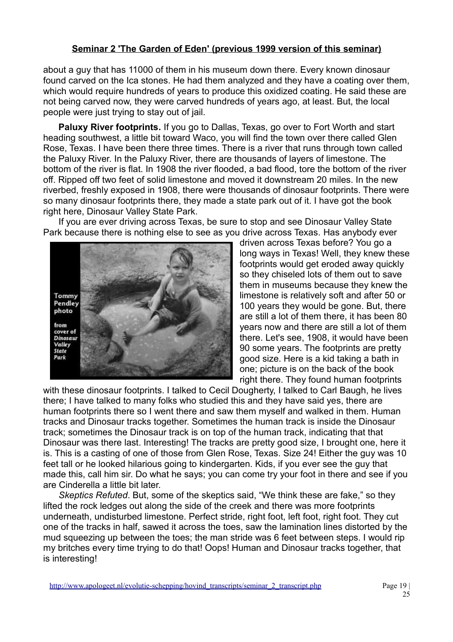about a guy that has 11000 of them in his museum down there. Every known dinosaur found carved on the Ica stones. He had them analyzed and they have a coating over them, which would require hundreds of years to produce this oxidized coating. He said these are not being carved now, they were carved hundreds of years ago, at least. But, the local people were just trying to stay out of jail.

**Paluxy River footprints.** If you go to Dallas, Texas, go over to Fort Worth and start heading southwest, a little bit toward Waco, you will find the town over there called Glen Rose, Texas. I have been there three times. There is a river that runs through town called the Paluxy River. In the Paluxy River, there are thousands of layers of limestone. The bottom of the river is flat. In 1908 the river flooded, a bad flood, tore the bottom of the river off. Ripped off two feet of solid limestone and moved it downstream 20 miles. In the new riverbed, freshly exposed in 1908, there were thousands of dinosaur footprints. There were so many dinosaur footprints there, they made a state park out of it. I have got the book right here, Dinosaur Valley State Park.

 If you are ever driving across Texas, be sure to stop and see Dinosaur Valley State Park because there is nothing else to see as you drive across Texas. Has anybody ever



driven across Texas before? You go a long ways in Texas! Well, they knew these footprints would get eroded away quickly so they chiseled lots of them out to save them in museums because they knew the limestone is relatively soft and after 50 or 100 years they would be gone. But, there are still a lot of them there, it has been 80 years now and there are still a lot of them there. Let's see, 1908, it would have been 90 some years. The footprints are pretty good size. Here is a kid taking a bath in one; picture is on the back of the book right there. They found human footprints

with these dinosaur footprints. I talked to Cecil Dougherty, I talked to Carl Baugh, he lives there; I have talked to many folks who studied this and they have said yes, there are human footprints there so I went there and saw them myself and walked in them. Human tracks and Dinosaur tracks together. Sometimes the human track is inside the Dinosaur track; sometimes the Dinosaur track is on top of the human track, indicating that that Dinosaur was there last. Interesting! The tracks are pretty good size, I brought one, here it is. This is a casting of one of those from Glen Rose, Texas. Size 24! Either the guy was 10 feet tall or he looked hilarious going to kindergarten. Kids, if you ever see the guy that made this, call him sir. Do what he says; you can come try your foot in there and see if you are Cinderella a little bit later.

 *Skeptics Refuted*. But, some of the skeptics said, "We think these are fake," so they lifted the rock ledges out along the side of the creek and there was more footprints underneath, undisturbed limestone. Perfect stride, right foot, left foot, right foot. They cut one of the tracks in half, sawed it across the toes, saw the lamination lines distorted by the mud squeezing up between the toes; the man stride was 6 feet between steps. I would rip my britches every time trying to do that! Oops! Human and Dinosaur tracks together, that is interesting!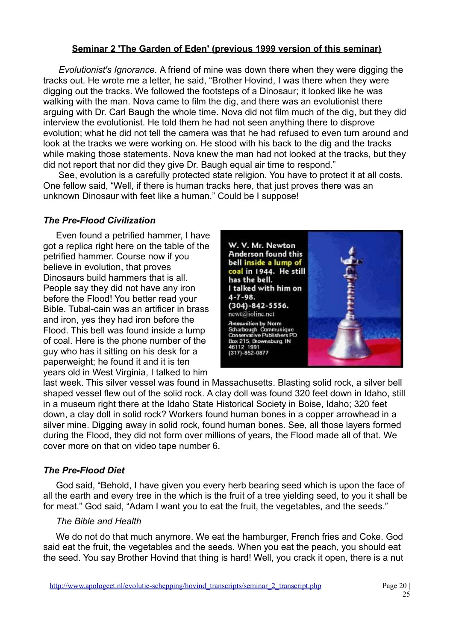*Evolutionist's Ignorance.* A friend of mine was down there when they were digging the tracks out. He wrote me a letter, he said, "Brother Hovind, I was there when they were digging out the tracks. We followed the footsteps of a Dinosaur; it looked like he was walking with the man. Nova came to film the dig, and there was an evolutionist there arguing with Dr. Carl Baugh the whole time. Nova did not film much of the dig, but they did interview the evolutionist. He told them he had not seen anything there to disprove evolution; what he did not tell the camera was that he had refused to even turn around and look at the tracks we were working on. He stood with his back to the dig and the tracks while making those statements. Nova knew the man had not looked at the tracks, but they did not report that nor did they give Dr. Baugh equal air time to respond."

 See, evolution is a carefully protected state religion. You have to protect it at all costs. One fellow said, "Well, if there is human tracks here, that just proves there was an unknown Dinosaur with feet like a human." Could be I suppose!

### *The Pre-Flood Civilization*

Even found a petrified hammer, I have got a replica right here on the table of the petrified hammer. Course now if you believe in evolution, that proves Dinosaurs build hammers that is all. People say they did not have any iron before the Flood! You better read your Bible. Tubal-cain was an artificer in brass and iron, yes they had iron before the Flood. This bell was found inside a lump of coal. Here is the phone number of the guy who has it sitting on his desk for a paperweight; he found it and it is ten years old in West Virginia, I talked to him



last week. This silver vessel was found in Massachusetts. Blasting solid rock, a silver bell shaped vessel flew out of the solid rock. A clay doll was found 320 feet down in Idaho, still in a museum right there at the Idaho State Historical Society in Boise, Idaho; 320 feet down, a clay doll in solid rock? Workers found human bones in a copper arrowhead in a silver mine. Digging away in solid rock, found human bones. See, all those layers formed during the Flood, they did not form over millions of years, the Flood made all of that. We cover more on that on video tape number 6.

### *The Pre-Flood Diet*

God said, "Behold, I have given you every herb bearing seed which is upon the face of all the earth and every tree in the which is the fruit of a tree yielding seed, to you it shall be for meat." God said, "Adam I want you to eat the fruit, the vegetables, and the seeds."

### *The Bible and Health*

We do not do that much anymore. We eat the hamburger, French fries and Coke. God said eat the fruit, the vegetables and the seeds. When you eat the peach, you should eat the seed. You say Brother Hovind that thing is hard! Well, you crack it open, there is a nut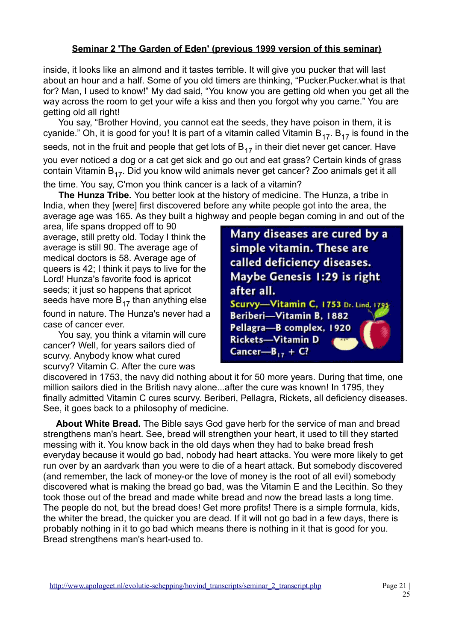inside, it looks like an almond and it tastes terrible. It will give you pucker that will last about an hour and a half. Some of you old timers are thinking, "Pucker.Pucker.what is that for? Man, I used to know!" My dad said, "You know you are getting old when you get all the way across the room to get your wife a kiss and then you forgot why you came." You are getting old all right!

 You say, "Brother Hovind, you cannot eat the seeds, they have poison in them, it is cyanide." Oh, it is good for you! It is part of a vitamin called Vitamin  $B_{17}$ .  $B_{17}$  is found in the seeds, not in the fruit and people that get lots of  $B_{17}$  in their diet never get cancer. Have you ever noticed a dog or a cat get sick and go out and eat grass? Certain kinds of grass contain Vitamin  $B_{17}$ . Did you know wild animals never get cancer? Zoo animals get it all the time. You say, C'mon you think cancer is a lack of a vitamin?

**The Hunza Tribe.** You better look at the history of medicine. The Hunza, a tribe in India, when they [were] first discovered before any white people got into the area, the average age was 165. As they built a highway and people began coming in and out of the

area, life spans dropped off to 90 average, still pretty old. Today I think the average is still 90. The average age of medical doctors is 58. Average age of queers is 42; I think it pays to live for the Lord! Hunza's favorite food is apricot seeds; it just so happens that apricot seeds have more  $B_{17}$  than anything else found in nature. The Hunza's never had a case of cancer ever.

 You say, you think a vitamin will cure cancer? Well, for years sailors died of scurvy. Anybody know what cured scurvy? Vitamin C. After the cure was

Many diseases are cured by a simple vitamin. These are called deficiency diseases. Maybe Genesis 1:29 is right after all. Scurvy-Vitamin C, 1753 Dr. Lind. 1795 Beriberi-Vitamin B. 1882 Pellagra-B complex, 1920 Rickets-Vitamin D Cancer- $B_{17} + C$ ?

discovered in 1753, the navy did nothing about it for 50 more years. During that time, one million sailors died in the British navy alone...after the cure was known! In 1795, they finally admitted Vitamin C cures scurvy. Beriberi, Pellagra, Rickets, all deficiency diseases. See, it goes back to a philosophy of medicine.

**About White Bread.** The Bible says God gave herb for the service of man and bread strengthens man's heart. See, bread will strengthen your heart, it used to till they started messing with it. You know back in the old days when they had to bake bread fresh everyday because it would go bad, nobody had heart attacks. You were more likely to get run over by an aardvark than you were to die of a heart attack. But somebody discovered (and remember, the lack of money-or the love of money is the root of all evil) somebody discovered what is making the bread go bad, was the Vitamin E and the Lecithin. So they took those out of the bread and made white bread and now the bread lasts a long time. The people do not, but the bread does! Get more profits! There is a simple formula, kids, the whiter the bread, the quicker you are dead. If it will not go bad in a few days, there is probably nothing in it to go bad which means there is nothing in it that is good for you. Bread strengthens man's heart-used to.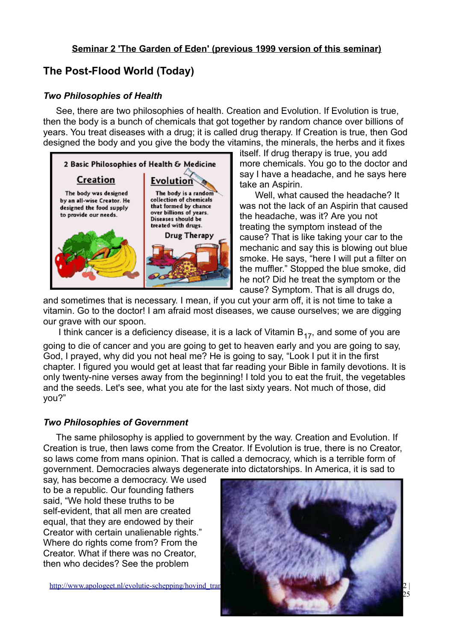# **The Post-Flood World (Today)**

### *Two Philosophies of Health*

See, there are two philosophies of health. Creation and Evolution. If Evolution is true, then the body is a bunch of chemicals that got together by random chance over billions of years. You treat diseases with a drug; it is called drug therapy. If Creation is true, then God designed the body and you give the body the vitamins, the minerals, the herbs and it fixes



itself. If drug therapy is true, you add more chemicals. You go to the doctor and say I have a headache, and he says here take an Aspirin.

 Well, what caused the headache? It was not the lack of an Aspirin that caused the headache, was it? Are you not treating the symptom instead of the cause? That is like taking your car to the mechanic and say this is blowing out blue smoke. He says, "here I will put a filter on the muffler." Stopped the blue smoke, did he not? Did he treat the symptom or the cause? Symptom. That is all drugs do,

and sometimes that is necessary. I mean, if you cut your arm off, it is not time to take a vitamin. Go to the doctor! I am afraid most diseases, we cause ourselves; we are digging our grave with our spoon.

I think cancer is a deficiency disease, it is a lack of Vitamin  $B_{17}$ , and some of you are

going to die of cancer and you are going to get to heaven early and you are going to say, God, I prayed, why did you not heal me? He is going to say, "Look I put it in the first chapter. I figured you would get at least that far reading your Bible in family devotions. It is only twenty-nine verses away from the beginning! I told you to eat the fruit, the vegetables and the seeds. Let's see, what you ate for the last sixty years. Not much of those, did you?"

### *Two Philosophies of Government*

The same philosophy is applied to government by the way. Creation and Evolution. If Creation is true, then laws come from the Creator. If Evolution is true, there is no Creator, so laws come from mans opinion. That is called a democracy, which is a terrible form of government. Democracies always degenerate into dictatorships. In America, it is sad to

say, has become a democracy. We used to be a republic. Our founding fathers said, "We hold these truths to be self-evident, that all men are created equal, that they are endowed by their Creator with certain unalienable rights." Where do rights come from? From the Creator. What if there was no Creator, then who decides? See the problem

http://www.apologeet.nl/evolutie-schepping/hovind\_tran

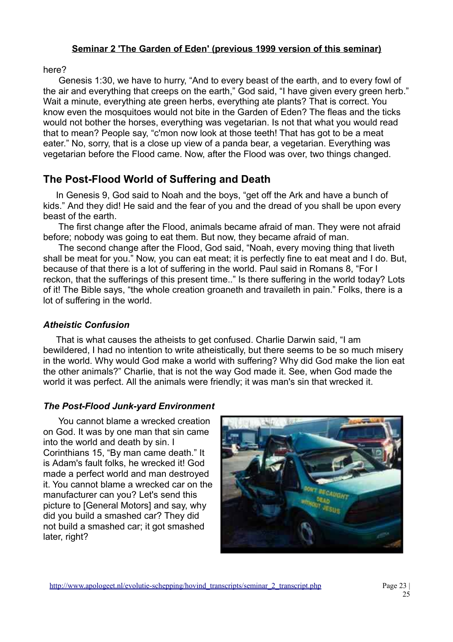here?

 Genesis 1:30, we have to hurry, "And to every beast of the earth, and to every fowl of the air and everything that creeps on the earth," God said, "I have given every green herb." Wait a minute, everything ate green herbs, everything ate plants? That is correct. You know even the mosquitoes would not bite in the Garden of Eden? The fleas and the ticks would not bother the horses, everything was vegetarian. Is not that what you would read that to mean? People say, "c'mon now look at those teeth! That has got to be a meat eater." No, sorry, that is a close up view of a panda bear, a vegetarian. Everything was vegetarian before the Flood came. Now, after the Flood was over, two things changed.

# **The Post-Flood World of Suffering and Death**

In Genesis 9, God said to Noah and the boys, "get off the Ark and have a bunch of kids." And they did! He said and the fear of you and the dread of you shall be upon every beast of the earth.

 The first change after the Flood, animals became afraid of man. They were not afraid before; nobody was going to eat them. But now, they became afraid of man.

 The second change after the Flood, God said, "Noah, every moving thing that liveth shall be meat for you." Now, you can eat meat; it is perfectly fine to eat meat and I do. But, because of that there is a lot of suffering in the world. Paul said in Romans 8, "For I reckon, that the sufferings of this present time.." Is there suffering in the world today? Lots of it! The Bible says, "the whole creation groaneth and travaileth in pain." Folks, there is a lot of suffering in the world.

## *Atheistic Confusion*

That is what causes the atheists to get confused. Charlie Darwin said, "I am bewildered, I had no intention to write atheistically, but there seems to be so much misery in the world. Why would God make a world with suffering? Why did God make the lion eat the other animals?" Charlie, that is not the way God made it. See, when God made the world it was perfect. All the animals were friendly; it was man's sin that wrecked it.

## *The Post-Flood Junk-yard Environment*

 You cannot blame a wrecked creation on God. It was by one man that sin came into the world and death by sin. I Corinthians 15, "By man came death." It is Adam's fault folks, he wrecked it! God made a perfect world and man destroyed it. You cannot blame a wrecked car on the manufacturer can you? Let's send this picture to [General Motors] and say, why did you build a smashed car? They did not build a smashed car; it got smashed later, right?

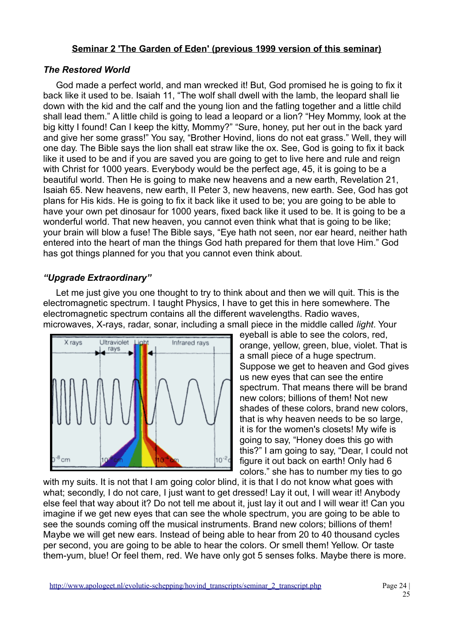#### *The Restored World*

God made a perfect world, and man wrecked it! But, God promised he is going to fix it back like it used to be. Isaiah 11, "The wolf shall dwell with the lamb, the leopard shall lie down with the kid and the calf and the young lion and the fatling together and a little child shall lead them." A little child is going to lead a leopard or a lion? "Hey Mommy, look at the big kitty I found! Can I keep the kitty, Mommy?" "Sure, honey, put her out in the back yard and give her some grass!" You say, "Brother Hovind, lions do not eat grass." Well, they will one day. The Bible says the lion shall eat straw like the ox. See, God is going to fix it back like it used to be and if you are saved you are going to get to live here and rule and reign with Christ for 1000 years. Everybody would be the perfect age, 45, it is going to be a beautiful world. Then He is going to make new heavens and a new earth, Revelation 21, Isaiah 65. New heavens, new earth, II Peter 3, new heavens, new earth. See, God has got plans for His kids. He is going to fix it back like it used to be; you are going to be able to have your own pet dinosaur for 1000 years, fixed back like it used to be. It is going to be a wonderful world. That new heaven, you cannot even think what that is going to be like; your brain will blow a fuse! The Bible says, "Eye hath not seen, nor ear heard, neither hath entered into the heart of man the things God hath prepared for them that love Him." God has got things planned for you that you cannot even think about.

## *"Upgrade Extraordinary"*

Let me just give you one thought to try to think about and then we will quit. This is the electromagnetic spectrum. I taught Physics, I have to get this in here somewhere. The electromagnetic spectrum contains all the different wavelengths. Radio waves, microwaves, X-rays, radar, sonar, including a small piece in the middle called *light*. Your



eyeball is able to see the colors, red, orange, yellow, green, blue, violet. That is a small piece of a huge spectrum. Suppose we get to heaven and God gives us new eyes that can see the entire spectrum. That means there will be brand new colors; billions of them! Not new shades of these colors, brand new colors, that is why heaven needs to be so large, it is for the women's closets! My wife is going to say, "Honey does this go with this?" I am going to say, "Dear, I could not figure it out back on earth! Only had 6 colors." she has to number my ties to go

with my suits. It is not that I am going color blind, it is that I do not know what goes with what; secondly, I do not care, I just want to get dressed! Lay it out, I will wear it! Anybody else feel that way about it? Do not tell me about it, just lay it out and I will wear it! Can you imagine if we get new eyes that can see the whole spectrum, you are going to be able to see the sounds coming off the musical instruments. Brand new colors; billions of them! Maybe we will get new ears. Instead of being able to hear from 20 to 40 thousand cycles per second, you are going to be able to hear the colors. Or smell them! Yellow. Or taste them-yum, blue! Or feel them, red. We have only got 5 senses folks. Maybe there is more.